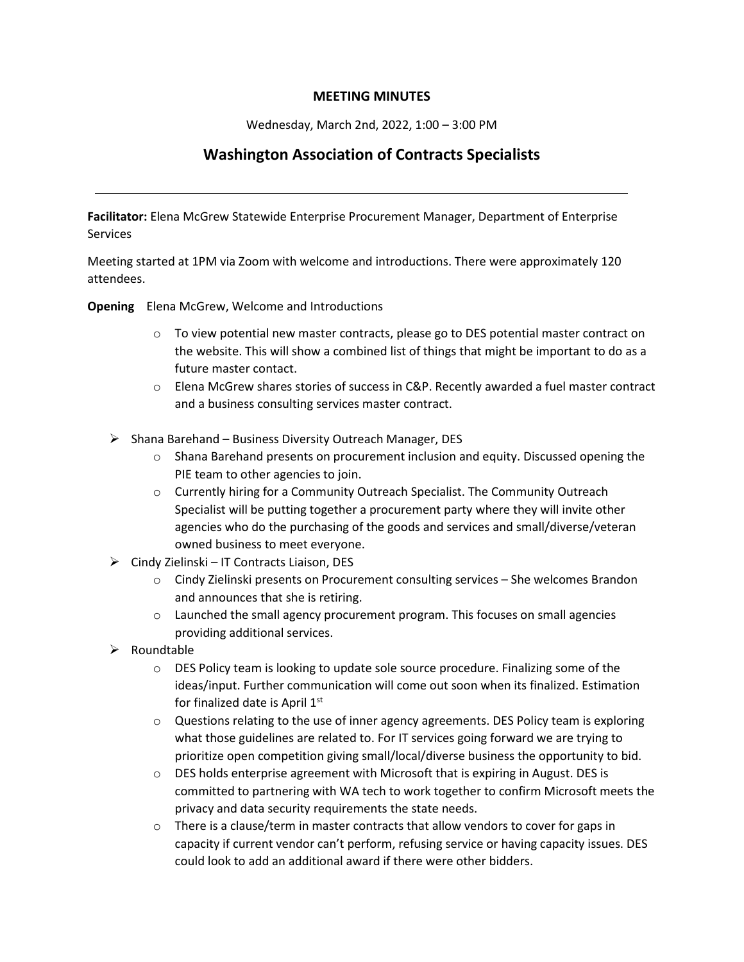## **MEETING MINUTES**

Wednesday, March 2nd, 2022, 1:00 – 3:00 PM

## **Washington Association of Contracts Specialists**

**Facilitator:** Elena McGrew Statewide Enterprise Procurement Manager, Department of Enterprise **Services** 

Meeting started at 1PM via Zoom with welcome and introductions. There were approximately 120 attendees.

**Opening** Elena McGrew, Welcome and Introductions

- o To view potential new master contracts, please go to DES potential master contract on the website. This will show a combined list of things that might be important to do as a future master contact.
- o Elena McGrew shares stories of success in C&P. Recently awarded a fuel master contract and a business consulting services master contract.
- $\triangleright$  Shana Barehand Business Diversity Outreach Manager, DES
	- o Shana Barehand presents on procurement inclusion and equity. Discussed opening the PIE team to other agencies to join.
	- o Currently hiring for a Community Outreach Specialist. The Community Outreach Specialist will be putting together a procurement party where they will invite other agencies who do the purchasing of the goods and services and small/diverse/veteran owned business to meet everyone.
- $\triangleright$  Cindy Zielinski IT Contracts Liaison, DES
	- $\circ$  Cindy Zielinski presents on Procurement consulting services She welcomes Brandon and announces that she is retiring.
	- $\circ$  Launched the small agency procurement program. This focuses on small agencies providing additional services.
- $\triangleright$  Roundtable
	- $\circ$  DES Policy team is looking to update sole source procedure. Finalizing some of the ideas/input. Further communication will come out soon when its finalized. Estimation for finalized date is April 1st
	- $\circ$  Questions relating to the use of inner agency agreements. DES Policy team is exploring what those guidelines are related to. For IT services going forward we are trying to prioritize open competition giving small/local/diverse business the opportunity to bid.
	- o DES holds enterprise agreement with Microsoft that is expiring in August. DES is committed to partnering with WA tech to work together to confirm Microsoft meets the privacy and data security requirements the state needs.
	- $\circ$  There is a clause/term in master contracts that allow vendors to cover for gaps in capacity if current vendor can't perform, refusing service or having capacity issues. DES could look to add an additional award if there were other bidders.